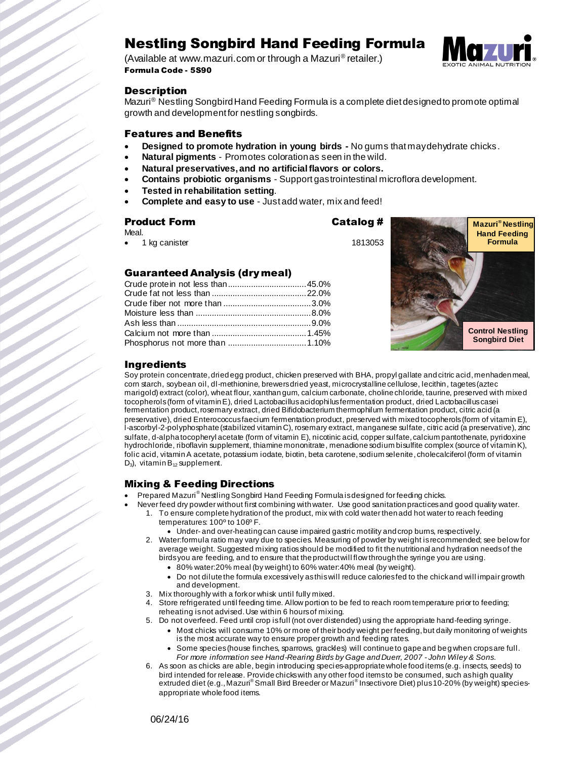# Nestling Songbird Hand Feeding Formula

(Available at www.mazuri.com or through a Mazuri® retailer.) Formula Code - 5S90



## **Description**

Mazuri<sup>®</sup> Nestling Songbird Hand Feeding Formula is a complete diet designed to promote optimal growth and development for nestling songbirds.

## Features and Benefits

- **Designed to promote hydration in young birds -** No gums that may dehydrate chicks.
- **Natural pigments**  Promotes coloration as seen in the wild.
- **Natural preservatives, and no artificial flavors or colors.**
- **Contains probiotic organisms** Support gastrointestinal microflora development.
- **Tested in rehabilitation setting**.
- **Complete and easy to use**  Just add water, mix and feed!

## Product Form Catalog #

Meal. 1 kg canister 1813053

# Guaranteed Analysis (dry meal)



## Ingredients

Soy protein concentrate, dried egg product, chicken preserved with BHA, propyl gallate and citric acid, menhaden meal, corn starch, soybean oil, dl-methionine, brewers dried yeast, microcrystalline cellulose, lecithin, tagetes (aztec marigold) extract (color), wheat flour, xanthan gum, calcium carbonate, choline chloride, taurine, preserved with mixed tocopherols (form of vitamin E), dried Lactobacillus acidophilus fermentation product, dried Lactobacillus casei fermentation product, rosemary extract, dried Bifidobacterium thermophilum fermentation product, citric acid (a preservative), dried Enterococcus faecium fermentation product, preserved with mixed tocopherols (form of vitamin E), l-ascorbyl-2-polyphosphate (stabilized vitamin C), rosemary extract, manganese sulfate, citric acid (a preservative), zinc sulfate, d-alpha tocopheryl acetate (form of vitamin E), nicotinic acid, copper sulfate, calcium pantothenate, pyridoxine hydrochloride, riboflavin supplement, thiamine mononitrate, menadione sodium bisulfite complex (source of vitamin K), folic acid, vitamin A acetate, potassium iodate, biotin, beta carotene, sodium selenite, cholecalciferol (form of vitamin  $D_3$ ), vitamin B<sub>12</sub> supplement.

## Mixing & Feeding Directions

- Prepared Mazuri® Nestling Songbird Hand Feeding Formula is designed for feeding chicks.
- Never feed dry powder without first combining with water. Use good sanitation practices and good quality water. 1. To ensure complete hydration of the product, mix with cold water then add hot water to reach feeding temperatures: 100º to 106º F.
	- $\bullet$  Under- and over-heating can cause impaired gastric motility and crop burns, respectively.
	- 2. Water:formula ratio may vary due to species. Measuring of powder by weight is recommended; see below for average weight. Suggested mixing ratios should be modified to fit the nutritional and hydration needs of the birds you are feeding, and to ensure that the product will flow through the syringe you are using.
		- 80% water:20% meal (by weight) to 60% water:40% meal (by weight).
		- Do not dilute the formula excessively as this will reduce calories fed to the chick and will impair growth and development.
	- 3. Mix thoroughly with a fork or whisk until fully mixed.
	- Store refrigerated until feeding time. Allow portion to be fed to reach room temperature prior to feeding; reheating is not advised. Use within 6 hours of mixing.
	- 5. Do not overfeed. Feed until crop is full (not over distended) using the appropriate hand-feeding syringe.
		- Most chicks will consume 10% or more of their body weight per feeding, but daily monitoring of weights is the most accurate way to ensure proper growth and feeding rates.
		- Some species (house finches, sparrows, grackles) will continue to gape and beg when crops are full. *For more information see Hand-Rearing Birds by Gage and Duerr, 2007 - John Wiley & Sons.*
	- 6. As soon as chicks are able, begin introducing species-appropriate whole food items (e.g. insects, seeds) to bird intended for release. Provide chicks with any other food items to be consumed, such as high quality extruded diet (e.g., Mazuri® Small Bird Breeder or Mazuri® Insectivore Diet) plus 10-20% (by weight) speciesappropriate whole food items.